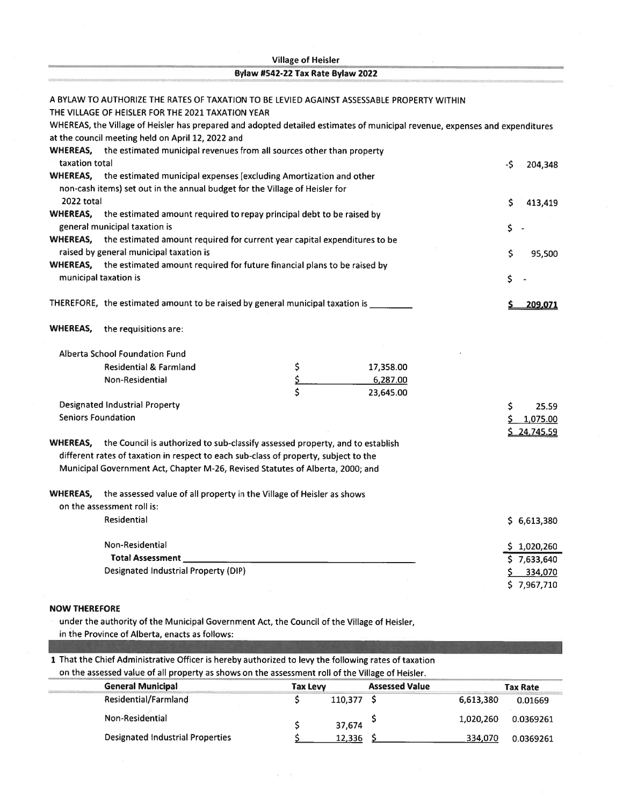| <b>Village of Heisler</b> |                                                                                                                                                                        |                                   |           |                    |  |  |  |
|---------------------------|------------------------------------------------------------------------------------------------------------------------------------------------------------------------|-----------------------------------|-----------|--------------------|--|--|--|
|                           |                                                                                                                                                                        | Bylaw #542-22 Tax Rate Bylaw 2022 |           |                    |  |  |  |
|                           | A BYLAW TO AUTHORIZE THE RATES OF TAXATION TO BE LEVIED AGAINST ASSESSABLE PROPERTY WITHIN                                                                             |                                   |           |                    |  |  |  |
|                           | THE VILLAGE OF HEISLER FOR THE 2021 TAXATION YEAR                                                                                                                      |                                   |           |                    |  |  |  |
|                           | WHEREAS, the Village of Heisler has prepared and adopted detailed estimates of municipal revenue, expenses and expenditures                                            |                                   |           |                    |  |  |  |
|                           | at the council meeting held on April 12, 2022 and                                                                                                                      |                                   |           |                    |  |  |  |
|                           | WHEREAS, the estimated municipal revenues from all sources other than property                                                                                         |                                   |           |                    |  |  |  |
| taxation total            |                                                                                                                                                                        |                                   |           | -Ŝ<br>204,348      |  |  |  |
|                           | WHEREAS, the estimated municipal expenses (excluding Amortization and other                                                                                            |                                   |           |                    |  |  |  |
|                           | non-cash items) set out in the annual budget for the Village of Heisler for                                                                                            |                                   |           |                    |  |  |  |
| 2022 total                |                                                                                                                                                                        |                                   |           | \$<br>413,419      |  |  |  |
|                           | WHEREAS, the estimated amount required to repay principal debt to be raised by                                                                                         |                                   |           |                    |  |  |  |
|                           | general municipal taxation is                                                                                                                                          |                                   |           | \$                 |  |  |  |
|                           | WHEREAS, the estimated amount required for current year capital expenditures to be<br>raised by general municipal taxation is                                          |                                   |           |                    |  |  |  |
|                           | WHEREAS, the estimated amount required for future financial plans to be raised by                                                                                      |                                   |           | Ś<br>95,500        |  |  |  |
|                           | municipal taxation is                                                                                                                                                  |                                   |           | \$.                |  |  |  |
|                           |                                                                                                                                                                        |                                   |           |                    |  |  |  |
|                           | THEREFORE, the estimated amount to be raised by general municipal taxation is                                                                                          |                                   |           | 209,071            |  |  |  |
|                           |                                                                                                                                                                        |                                   |           |                    |  |  |  |
| WHEREAS,                  | the requisitions are:                                                                                                                                                  |                                   |           |                    |  |  |  |
|                           | Alberta School Foundation Fund                                                                                                                                         |                                   |           |                    |  |  |  |
|                           | <b>Residential &amp; Farmland</b>                                                                                                                                      | \$                                | 17,358.00 |                    |  |  |  |
|                           | Non-Residential                                                                                                                                                        | \$                                | 6,287.00  |                    |  |  |  |
|                           |                                                                                                                                                                        | \$                                | 23,645.00 |                    |  |  |  |
|                           | <b>Designated Industrial Property</b>                                                                                                                                  |                                   |           | \$<br>25.59        |  |  |  |
|                           | <b>Seniors Foundation</b>                                                                                                                                              |                                   |           | 1,075.00           |  |  |  |
|                           |                                                                                                                                                                        |                                   |           | <u>\$24,745.59</u> |  |  |  |
| WHEREAS,                  | the Council is authorized to sub-classify assessed property, and to establish                                                                                          |                                   |           |                    |  |  |  |
|                           | different rates of taxation in respect to each sub-class of property, subject to the<br>Municipal Government Act, Chapter M-26, Revised Statutes of Alberta, 2000; and |                                   |           |                    |  |  |  |
|                           |                                                                                                                                                                        |                                   |           |                    |  |  |  |
| WHEREAS,                  | the assessed value of all property in the Village of Heisler as shows                                                                                                  |                                   |           |                    |  |  |  |
|                           | on the assessment roll is:                                                                                                                                             |                                   |           |                    |  |  |  |
|                           | Residential                                                                                                                                                            |                                   |           | \$6,613,380        |  |  |  |
|                           |                                                                                                                                                                        |                                   |           |                    |  |  |  |
|                           | Non-Residential                                                                                                                                                        |                                   |           | \$1,020,260        |  |  |  |
|                           |                                                                                                                                                                        |                                   |           | 57,633,640         |  |  |  |
|                           | <b>Designated Industrial Property (DIP)</b>                                                                                                                            |                                   |           | 334,070<br>\$.     |  |  |  |
|                           |                                                                                                                                                                        |                                   |           | \$7,967,710        |  |  |  |

## NOW THEREFORE

under the authority of the Municipal Government Act, the Council of the Village of Heisler, in the Province of Alberta, enacts as follows:

<sup>1</sup> That the Chief Administrative Officer is hereby authorized to levy the following rates of taxation

| on the assessed value of all property as shows on the assessment roll of the Village of Heisler. |  |
|--------------------------------------------------------------------------------------------------|--|
|                                                                                                  |  |

|                 | <b>General Municipal</b>                |                 |         |                       |           |                 |
|-----------------|-----------------------------------------|-----------------|---------|-----------------------|-----------|-----------------|
|                 |                                         | <b>Tax Levy</b> |         | <b>Assessed Value</b> |           | <b>Tax Rate</b> |
|                 | <b>Residential/Farmland</b>             |                 | 110,377 |                       | 6,613,380 | 0.01669         |
| Non-Residential |                                         |                 | 37,674  |                       | 1,020,260 | 0.0369261       |
|                 | <b>Designated Industrial Properties</b> |                 | 12,336  |                       | 334,070   | 0.0369261       |